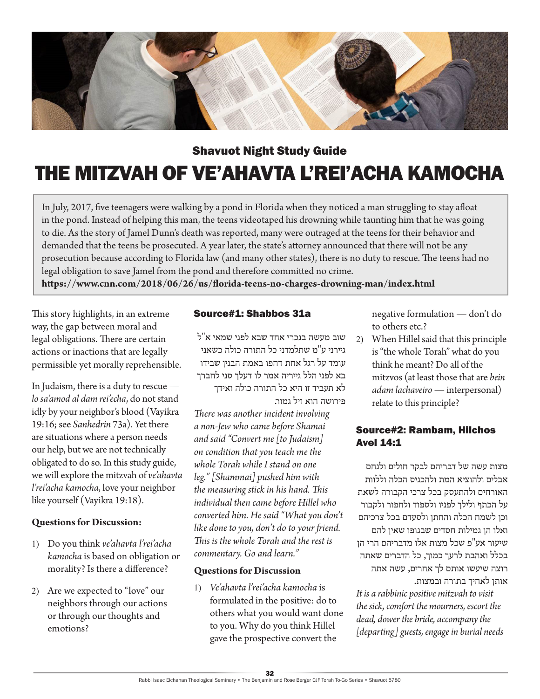

# Shavuot Night Study Guide

# THE MITZVAH OF VE'AHAVTA L'REI'ACHA KAMOCHA

In July, 2017, five teenagers were walking by a pond in Florida when they noticed a man struggling to stay afloat in the pond. Instead of helping this man, the teens videotaped his drowning while taunting him that he was going to die. As the story of Jamel Dunn's death was reported, many were outraged at the teens for their behavior and demanded that the teens be prosecuted. A year later, the state's attorney announced that there will not be any prosecution because according to Florida law (and many other states), there is no duty to rescue. The teens had no legal obligation to save Jamel from the pond and therefore committed no crime.

**https://www.cnn.com/2018/06/26/us/florida-teens-no-charges-drowning-man/index.html**

This story highlights, in an extreme way, the gap between moral and legal obligations. There are certain actions or inactions that are legally permissible yet morally reprehensible.

In Judaism, there is a duty to rescue *lo sa'amod al dam rei'echa*, do not stand idly by your neighbor's blood (Vayikra 19:16; see *Sanhedrin* 73a). Yet there are situations where a person needs our help, but we are not technically obligated to do so. In this study guide, we will explore the mitzvah of *ve'ahavta l'rei'acha kamocha*, love your neighbor like yourself (Vayikra 19:18).

## **Questions for Discussion:**

- 1) Do you think *ve'ahavta l'rei'acha kamocha* is based on obligation or morality? Is there a difference?
- 2) Are we expected to "love" our neighbors through our actions or through our thoughts and emotions?

## Source#1: Shabbos 31a

שוב מעשה בנכרי אחד שבא לפני שמאי א"ל גיירני ע"מ שתלמדני כל התורה כולה כשאני עומד על רגל אחת דחפו באמת הבנין שבידו בא לפני הלל גייריה אמר לו דעלך סני לחברך לא תעביד זו היא כל התורה כולה ואידך פירושה הוא זיל גמור.

*There was another incident involving a non-Jew who came before Shamai and said "Convert me [to Judaism] on condition that you teach me the whole Torah while I stand on one leg." [Shammai] pushed him with the measuring stick in his hand. This individual then came before Hillel who converted him. He said "What you don't like done to you, don't do to your friend. This is the whole Torah and the rest is commentary. Go and learn."*

#### **Questions for Discussion**

1) *Ve'ahavta l'rei'acha kamocha* is formulated in the positive: do to others what you would want done to you. Why do you think Hillel gave the prospective convert the

negative formulation — don't do to others etc.?

2) When Hillel said that this principle is "the whole Torah" what do you think he meant? Do all of the mitzvos (at least those that are *bein adam lachaveiro* — interpersonal) relate to this principle?

# Source#2: Rambam, Hilchos Avel 14:1

מצות עשה של דבריהם לבקר חולים ולנחם אבלים ולהוציא המת ולהכניס הכלה וללוות האורחים ולהתעסק בכל צרכי הקבורה לשאת על הכתף ולילך לפניו ולספוד ולחפור ולקבור וכן לשמח הכלה והחתן ולסעדם בכל צרכיהם ואלו הן גמילות חסדים שבגופו שאין להם שיעור אע"פ שכל מצות אלו מדבריהם הרי הן בכלל ואהבת לרעך כמוך, כל הדברים שאתה רוצה שיעשו אותם לך אחרים, עשה אתה אותן לאחיך בתורה ובמצות.

*It is a rabbinic positive mitzvah to visit the sick, comfort the mourners, escort the dead, dower the bride, accompany the [departing] guests, engage in burial needs*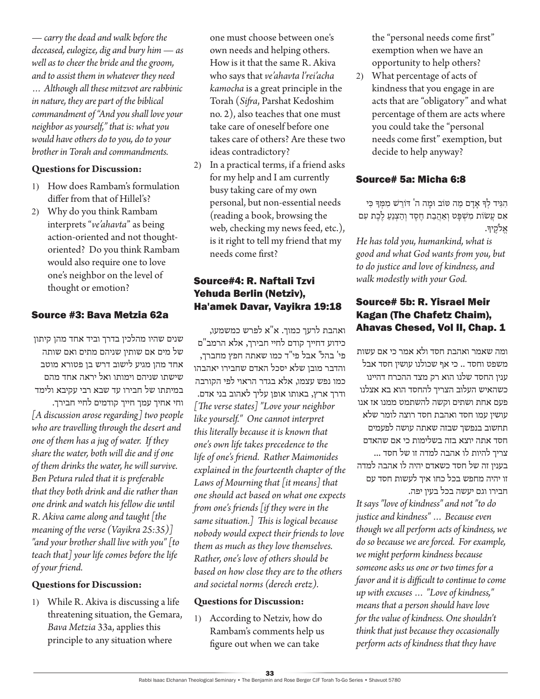*— carry the dead and walk before the deceased, eulogize, dig and bury him — as well as to cheer the bride and the groom, and to assist them in whatever they need … Although all these mitzvot are rabbinic in nature, they are part of the biblical commandment of "And you shall love your neighbor as yourself," that is: what you would have others do to you, do to your brother in Torah and commandments.*

## **Questions for Discussion:**

- 1) How does Rambam's formulation differ from that of Hillel's?
- 2) Why do you think Rambam interprets "*ve'ahavta*" as being action-oriented and not thoughtoriented? Do you think Rambam would also require one to love one's neighbor on the level of thought or emotion?

# Source #3: Bava Metzia 62a

שנים שהיו מהלכין בדרך וביד אחד מהן קיתון של מים אם שותין שניהם מתים ואם שותה אחד מהן מגיע לישוב דרש בן פטורא מוטב שישתו שניהם וימותו ואל יראה אחד מהם במיתתו של חבירו עד שבא רבי עקיבא ולימד וחי אחיך עמך חייך קודמים לחיי חבירך. *[A discussion arose regarding] two people who are travelling through the desert and one of them has a jug of water. If they share the water, both will die and if one of them drinks the water, he will survive. Ben Petura ruled that it is preferable that they both drink and die rather than one drink and watch his fellow die until R. Akiva came along and taught [the meaning of the verse (Vayikra 25:35)] "and your brother shall live with you" [to teach that] your life comes before the life of your friend.*

## **Questions for Discussion:**

1) While R. Akiva is discussing a life threatening situation, the Gemara, *Bava Metzia* 33a, applies this principle to any situation where

one must choose between one's own needs and helping others. How is it that the same R. Akiva who says that *ve'ahavta l'rei'acha kamocha* is a great principle in the Torah (*Sifra*, Parshat Kedoshim no. 2), also teaches that one must take care of oneself before one takes care of others? Are these two ideas contradictory?

2) In a practical terms, if a friend asks for my help and I am currently busy taking care of my own personal, but non-essential needs (reading a book, browsing the web, checking my news feed, etc.), is it right to tell my friend that my needs come first?

# Source#4: R. Naftali Tzvi Yehuda Berlin (Netziv), Ha'amek Davar, Vayikra 19:18

ואהבת לרעך כמוך. א"א לפרש כמשמעו, כידוע דחייך קודם לחיי חבירך, אלא הרמב"ם פי' בהל' אבל פי"ד כמו שאתה חפץ מחברך, והדבר מובן שלא יסכל האדם שחבירו יאהבהו כמו נפש עצמו, אלא בגדר הראוי לפי הקורבה ודרך ארץ, באותו אופן עליך לאהוב בני אדם. *[The verse states] "Love your neighbor like yourself." One cannot interpret this literally because it is known that one's own life takes precedence to the life of one's friend. Rather Maimonides explained in the fourteenth chapter of the Laws of Mourning that [it means] that one should act based on what one expects from one's friends [if they were in the same situation.] This is logical because nobody would expect their friends to love them as much as they love themselves. Rather, one's love of others should be based on how close they are to the others and societal norms (derech eretz).*

## **Questions for Discussion:**

1) According to Netziv, how do Rambam's comments help us figure out when we can take

the "personal needs come first" exemption when we have an opportunity to help others?

2) What percentage of acts of kindness that you engage in are acts that are "obligatory" and what percentage of them are acts where you could take the "personal needs come first" exemption, but decide to help anyway?

## Source# 5a: Micha 6:8

הִ ּגִ יד לְ ָך אָ דָ ם מַ ה ּטֹוב ּומָ ה ה' ּדֹורֵ ׁש מִ ּמְ ָך ּכִ י אִם עֲשׂוֹת מִשְׁפָּט וְאַהֲבַת חֵסֵד וְהַצְנֵעַ לֶכֶת עִם אֵלֹקֵיךָ.

*He has told you, humankind, what is good and what God wants from you, but to do justice and love of kindness, and walk modestly with your God.*

# Source# 5b: R. Yisrael Meir Kagan (The Chafetz Chaim), Ahavas Chesed, Vol II, Chap. 1

ומה שאמר ואהבת חסד ולא אמר כי אם עשות משפט וחסד .. כי אף שכולנו עושין חסד אבל ענין החסד שלנו הוא רק מצד ההכרח דהיינו כשהאיש העלוב הצריך להחסד הוא בא אצלנו פעם אחת ושתים וקשה להשתמט ממנו אז אנו עושין עמו חסד ואהבת חסד רוצה לומר שלא תחשוב בנפשך שבזה שאתה עושה לפעמים חסד אתה יוצא בזה בשלימות כי אם שהאדם צריך להיות לו אהבה למדה זו של חסד ... בענין זה של חסד כשאדם יהיה לו אהבה למדה זו יהיה מחפש בכל כחו איך לעשות חסד עם חבירו וגם יעשה בכל בעין יפה.

*It says "love of kindness" and not "to do justice and kindness" … Because even though we all perform acts of kindness, we do so because we are forced. For example, we might perform kindness because someone asks us one or two times for a favor and it is difficult to continue to come up with excuses … "Love of kindness," means that a person should have love for the value of kindness. One shouldn't think that just because they occasionally perform acts of kindness that they have*